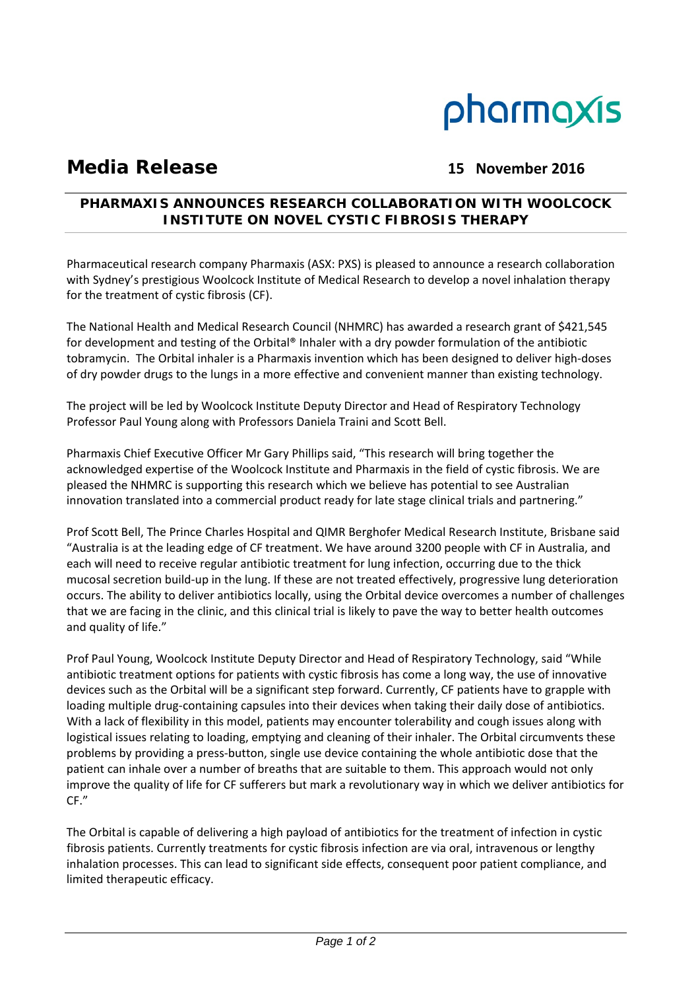

# **Media Release 15 November 2016**

## **PHARMAXIS ANNOUNCES RESEARCH COLLABORATION WITH WOOLCOCK INSTITUTE ON NOVEL CYSTIC FIBROSIS THERAPY**

Pharmaceutical research company Pharmaxis (ASX: PXS) is pleased to announce a research collaboration with Sydney's prestigious Woolcock Institute of Medical Research to develop a novel inhalation therapy for the treatment of cystic fibrosis (CF).

The National Health and Medical Research Council (NHMRC) has awarded a research grant of \$421,545 for development and testing of the Orbital® Inhaler with a dry powder formulation of the antibiotic tobramycin. The Orbital inhaler is a Pharmaxis invention which has been designed to deliver high‐doses of dry powder drugs to the lungs in a more effective and convenient manner than existing technology.

The project will be led by Woolcock Institute Deputy Director and Head of Respiratory Technology Professor Paul Young along with Professors Daniela Traini and Scott Bell.

Pharmaxis Chief Executive Officer Mr Gary Phillips said, "This research will bring together the acknowledged expertise of the Woolcock Institute and Pharmaxis in the field of cystic fibrosis. We are pleased the NHMRC is supporting this research which we believe has potential to see Australian innovation translated into a commercial product ready for late stage clinical trials and partnering."

Prof Scott Bell, The Prince Charles Hospital and QIMR Berghofer Medical Research Institute, Brisbane said "Australia is at the leading edge of CF treatment. We have around 3200 people with CF in Australia, and each will need to receive regular antibiotic treatment for lung infection, occurring due to the thick mucosal secretion build‐up in the lung. If these are not treated effectively, progressive lung deterioration occurs. The ability to deliver antibiotics locally, using the Orbital device overcomes a number of challenges that we are facing in the clinic, and this clinical trial is likely to pave the way to better health outcomes and quality of life."

Prof Paul Young, Woolcock Institute Deputy Director and Head of Respiratory Technology, said "While antibiotic treatment options for patients with cystic fibrosis has come a long way, the use of innovative devices such as the Orbital will be a significant step forward. Currently, CF patients have to grapple with loading multiple drug‐containing capsules into their devices when taking their daily dose of antibiotics. With a lack of flexibility in this model, patients may encounter tolerability and cough issues along with logistical issues relating to loading, emptying and cleaning of their inhaler. The Orbital circumvents these problems by providing a press‐button, single use device containing the whole antibiotic dose that the patient can inhale over a number of breaths that are suitable to them. This approach would not only improve the quality of life for CF sufferers but mark a revolutionary way in which we deliver antibiotics for CF."

The Orbital is capable of delivering a high payload of antibiotics for the treatment of infection in cystic fibrosis patients. Currently treatments for cystic fibrosis infection are via oral, intravenous or lengthy inhalation processes. This can lead to significant side effects, consequent poor patient compliance, and limited therapeutic efficacy.